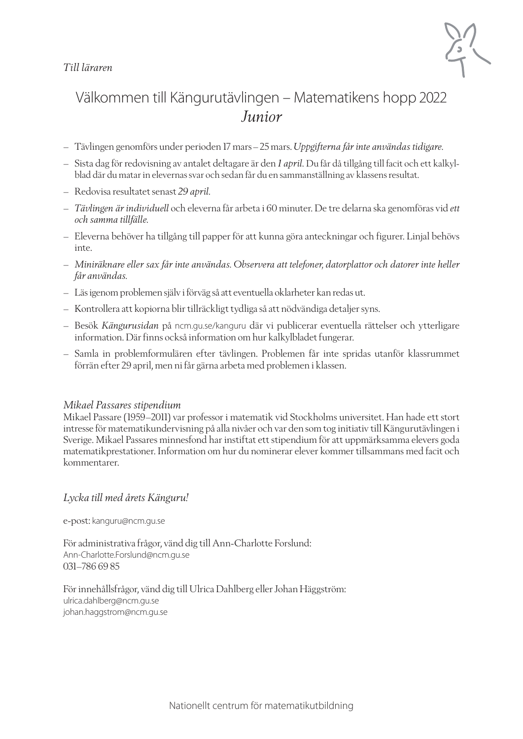### *Till läraren*



## Välkommen till Kängurutävlingen – Matematikens hopp 2022 *Junior*

- Tävlingen genomförs under perioden 17 mars–25 mars. *Uppgifterna får inte användas tidigare*.
- Sista dag för redovisning av antalet deltagare är den *1 april.* Du får då tillgång till facit och ett kalkylblad där du matar in elevernas svar och sedan får du en sammanställning av klassens resultat.
- Redovisa resultatet senast *29 april.*
- *Tävlingen är individuell* och eleverna får arbeta i 60 minuter. De tre delarna ska genomföras vid *ett och samma tillfälle.*
- Eleverna behöver ha tillgång till papper för att kunna göra anteckningar och figurer. Linjal behövs inte.
- *Miniräknare eller sax får inte användas. Observera att telefoner, datorplattor och datorer inte heller får användas.*
- Läs igenom problemen själv i förväg så att eventuella oklarheter kan redas ut.
- Kontrollera att kopiorna blir tillräckligt tydliga så att nödvändiga detaljer syns.
- Besök *Kängurusidan* på ncm.gu.se/kanguru där vi publicerar eventuella rättelser och ytterligare information. Där finns också information om hur kalkylbladet fungerar.
- Samla in problemformulären efter tävlingen. Problemen får inte spridas utanför klassrummet förrän efter 29 april, men ni får gärna arbeta med problemen i klassen.

#### *Mikael Passares stipendium*

Mikael Passare (1959–2011) var professor i matematik vid Stockholms universitet. Han hade ett stort intresse för matematikundervisning på alla nivåer och var den som tog initiativ till Kängurutävlingen i Sverige. Mikael Passares minnesfond har instiftat ett stipendium för att uppmärksamma elevers goda matematikprestationer. Information om hur du nominerar elever kommer tillsammans med facit och kommentarer.

#### *Lycka till med årets Känguru!*

e-post: kanguru@ncm.gu.se

För administrativa frågor, vänd dig till Ann-Charlotte Forslund: Ann-Charlotte.Forslund@ncm.gu.se 031–786 69 85

För innehållsfrågor, vänd dig till Ulrica Dahlberg eller Johan Häggström: ulrica.dahlberg@ncm.gu.se johan.haggstrom@ncm.gu.se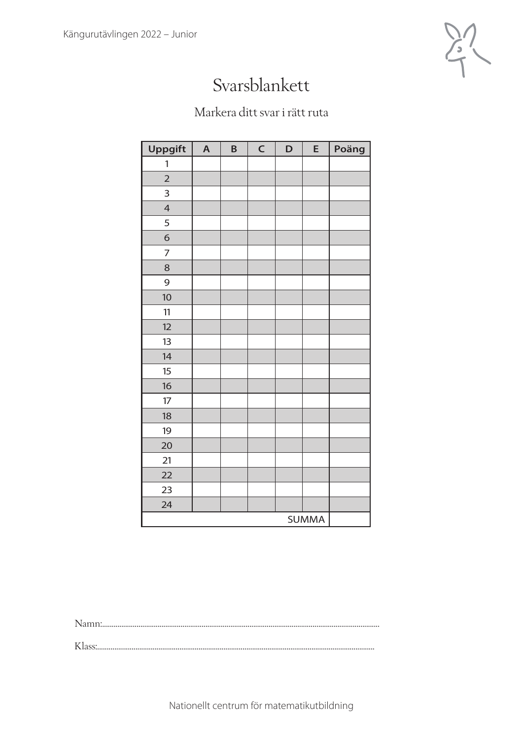

## Svarsblankett

### Markera ditt svar i rätt ruta

| Uppgift        | $\overline{\mathsf{A}}$ | B | $\mathsf C$ | D | E            | Poäng |
|----------------|-------------------------|---|-------------|---|--------------|-------|
| 1              |                         |   |             |   |              |       |
| $\overline{2}$ |                         |   |             |   |              |       |
| 3              |                         |   |             |   |              |       |
| $\overline{4}$ |                         |   |             |   |              |       |
| 5              |                         |   |             |   |              |       |
| $\sigma$       |                         |   |             |   |              |       |
| $\overline{7}$ |                         |   |             |   |              |       |
| 8              |                         |   |             |   |              |       |
| 9              |                         |   |             |   |              |       |
| 10             |                         |   |             |   |              |       |
| 11             |                         |   |             |   |              |       |
| 12             |                         |   |             |   |              |       |
| 13             |                         |   |             |   |              |       |
| 14             |                         |   |             |   |              |       |
| 15             |                         |   |             |   |              |       |
| 16             |                         |   |             |   |              |       |
| 17             |                         |   |             |   |              |       |
| 18             |                         |   |             |   |              |       |
| 19             |                         |   |             |   |              |       |
| 20             |                         |   |             |   |              |       |
| 21             |                         |   |             |   |              |       |
| 22             |                         |   |             |   |              |       |
| 23             |                         |   |             |   |              |       |
| 24             |                         |   |             |   |              |       |
|                |                         |   |             |   | <b>SUMMA</b> |       |

Namn:.................................................................................................................................................

Klass:.................................................................................................................................................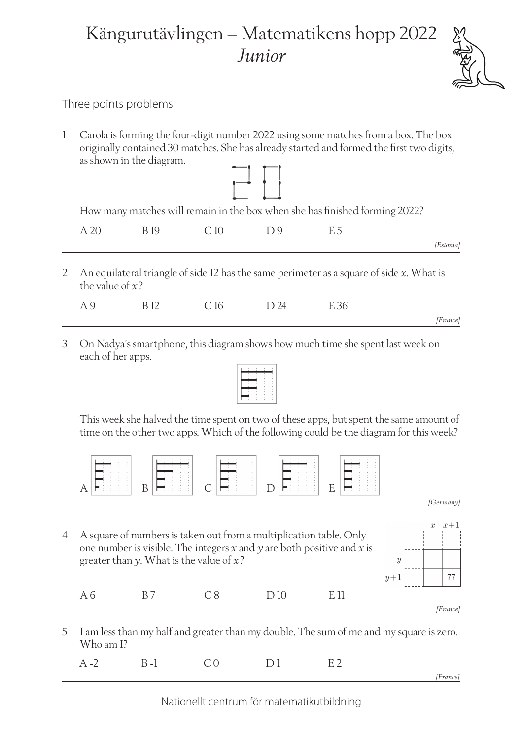# Kängurutävlingen – Matematikens hopp 2022 *Junior*



### Three points problems

1 Carola is forming the four-digit number 2022 using some matches from a box. The box originally contained 30 matches. She has already started and formed the first two digits, as shown in the diagram.



How many matches will remain in the box when she has finished forming 2022?

| $\overline{A}$ 20 | R 19 | C10 | $\Box$ $\Box$ 9 | $E$ 5 |           |
|-------------------|------|-----|-----------------|-------|-----------|
|                   |      |     |                 |       | [Estonia] |

2 An equilateral triangle of side 12 has the same perimeter as a square of side *x*. What is the value of *x*?

|          |  | B 12 C 16 D 24 E 36 | A 9 |
|----------|--|---------------------|-----|
| [France] |  |                     |     |

3 On Nadya's smartphone, this diagram shows how much time she spent last week on each of her apps.



This week she halved the time spent on two of these apps, but spent the same amount of time on the other two apps. Which of the following could be the diagram for this week?



*[Germany]*

4 A square of numbers is taken out from a multiplication table. Only one number is visible. The integers *x* and *y* are both positive and *x* is greater than *y*. What is the value of *x*?

A 6 B 7 C 8 D 10 E 11

 $x+1$  $\overline{x}$  $\overline{y}$ 77  $y+1$ 



5 I am less than my half and greater than my double. The sum of me and my square is zero. Who am I?

|  | A-2 B-1 CO D1 E2 |  |          |
|--|------------------|--|----------|
|  |                  |  | [France] |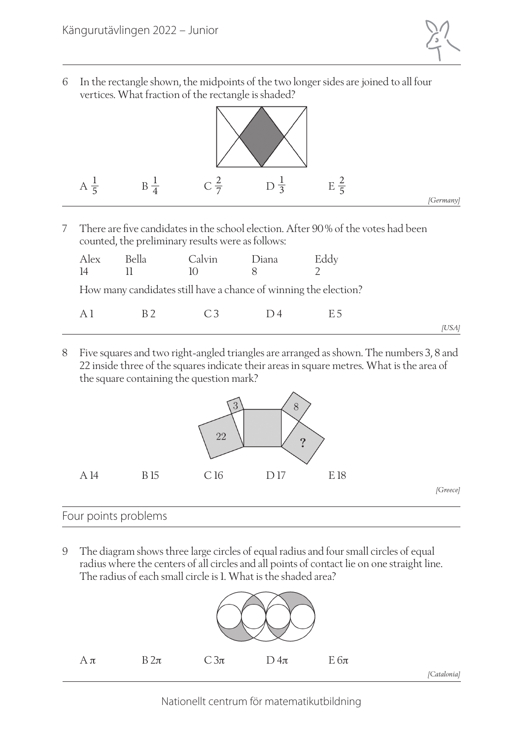

6 In the rectangle shown, the midpoints of the two longer sides are joined to all four vertices. What fraction of the rectangle is shaded?



7 There are five candidates in the school election. After 90% of the votes had been counted, the preliminary results were as follows:

| Alex<br>$\vert 4 \vert$ | Bella                                                            | Calvin<br>$\vert$ () | Diana | Eddy |
|-------------------------|------------------------------------------------------------------|----------------------|-------|------|
|                         | How many candidates still have a chance of winning the election? |                      |       |      |

| Δ | К | $\curvearrowright$ 3<br>ٮ | $\overline{\phantom{0}}$ |       |
|---|---|---------------------------|--------------------------|-------|
|   |   |                           |                          | ,USAI |

8 Five squares and two right-angled triangles are arranged as shown. The numbers 3, 8 and 22 inside three of the squares indicate their areas in square metres. What is the area of the square containing the question mark?



### Four points problems

9 The diagram shows three large circles of equal radius and four small circles of equal radius where the centers of all circles and all points of contact lie on one straight line. The radius of each small circle is 1. What is the shaded area?

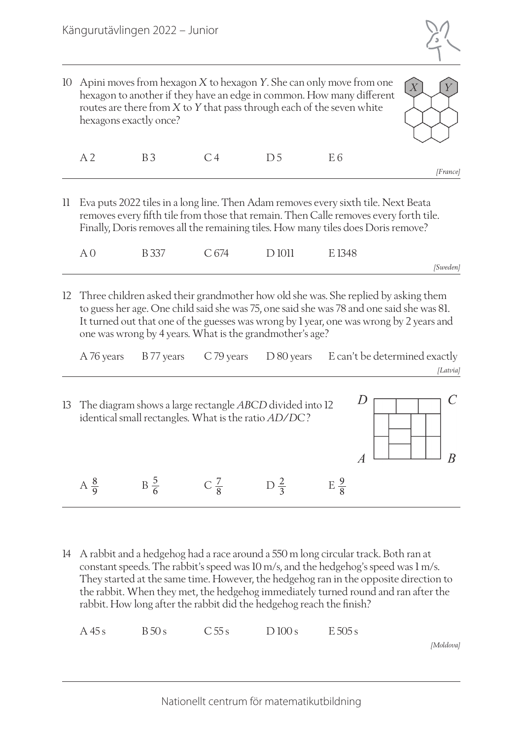

10 Apini moves from hexagon *X* to hexagon *Y*. She can only move from one hexagon to another if they have an edge in common. How many different routes are there from *X* to *Y* that pass through each of the seven white hexagons exactly once?



|          |  | A 2 B 3 C 4 D 5 E 6 |  |
|----------|--|---------------------|--|
| [France] |  |                     |  |

11 Eva puts 2022 tiles in a long line. Then Adam removes every sixth tile. Next Beata removes every fifth tile from those that remain. Then Calle removes every forth tile. Finally, Doris removes all the remaining tiles. How many tiles does Doris remove?

| $A \Omega$ | B 337 C 674 | D 1011 E 1348 |          |
|------------|-------------|---------------|----------|
|            |             |               | [Sweden] |

12 Three children asked their grandmother how old she was. She replied by asking them to guess her age. One child said she was 75, one said she was 78 and one said she was 81. It turned out that one of the guesses was wrong by 1 year, one was wrong by 2 years and one was wrong by 4 years. What is the grandmother's age?

| A 76 years     | B 77 years                                           | C 79 years     | $D$ 80 years                                                |                | E can't be determined exactly |          |
|----------------|------------------------------------------------------|----------------|-------------------------------------------------------------|----------------|-------------------------------|----------|
|                |                                                      |                |                                                             |                |                               | [Latvia] |
|                | identical small rectangles. What is the ratio AD/DC? |                | 13 The diagram shows a large rectangle ABCD divided into 12 |                |                               |          |
|                |                                                      |                |                                                             |                |                               |          |
| $A\frac{8}{9}$ | $B\frac{5}{6}$                                       | $C\frac{7}{9}$ | $D\frac{2}{2}$                                              | $E\frac{9}{8}$ |                               |          |

14 A rabbit and a hedgehog had a race around a 550 m long circular track. Both ran at constant speeds. The rabbit's speed was 10 m/s, and the hedgehog's speed was 1 m/s. They started at the same time. However, the hedgehog ran in the opposite direction to the rabbit. When they met, the hedgehog immediately turned round and ran after the rabbit. How long after the rabbit did the hedgehog reach the finish?

 $A\,45\,\text{s}$   $B\,50\,\text{s}$   $C\,55\,\text{s}$   $D\,100\,\text{s}$   $E\,505\,\text{s}$ 

*[Moldova]*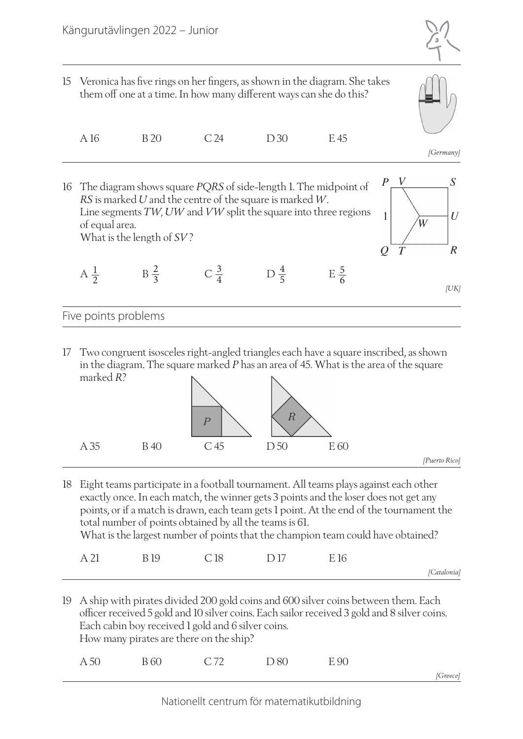



|  | A 16 | <b>B</b> 20 | C <sub>24</sub> | D <sub>30</sub> | E 45 |
|--|------|-------------|-----------------|-----------------|------|
|--|------|-------------|-----------------|-----------------|------|

*[Germany]*



17 Two congruent isosceles right-angled triangles each have a square inscribed, as shown in the diagram. The square marked *P* has an area of 45. What is the area of the square marked *R*?



18 Eight teams participate in a football tournament. All teams plays against each other exactly once. In each match, the winner gets 3 points and the loser does not get any points, or if a match is drawn, each team gets 1 point. At the end of the tournament the total number of points obtained by all the teams is 61. What is the largest number of points that the champion team could have obtained?

| $\sim$<br>--<br>$ -$ | ᆂ<br>້ | ⊥∪ | - -<br>. .<br><u>.</u> | . .<br>-- |            |
|----------------------|--------|----|------------------------|-----------|------------|
|                      |        |    |                        |           | Catalonia/ |

19 A ship with pirates divided 200 gold coins and 600 silver coins between them. Each officer received 5 gold and 10 silver coins. Each sailor received 3 gold and 8 silver coins. Each cabin boy received 1 gold and 6 silver coins. How many pirates are there on the ship?

|  | A 50 B 60 C 72 D 80 E 90 |          |
|--|--------------------------|----------|
|  |                          | [Greece] |